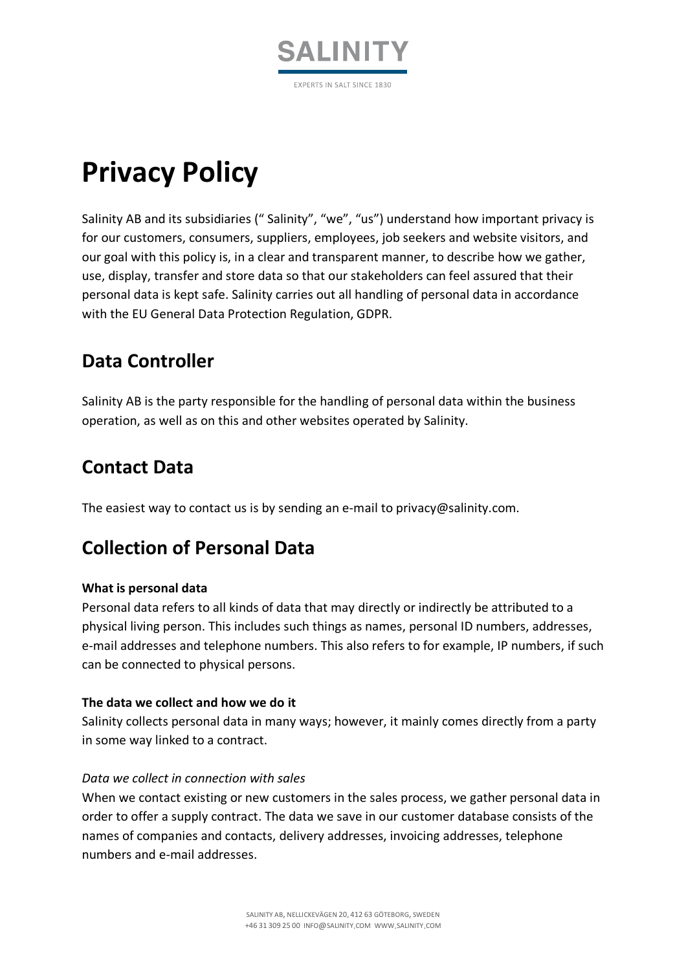

# **Privacy Policy**

Salinity AB and its subsidiaries (" Salinity", "we", "us") understand how important privacy is for our customers, consumers, suppliers, employees, job seekers and website visitors, and our goal with this policy is, in a clear and transparent manner, to describe how we gather, use, display, transfer and store data so that our stakeholders can feel assured that their personal data is kept safe. Salinity carries out all handling of personal data in accordance with the EU General Data Protection Regulation, GDPR.

# **Data Controller**

Salinity AB is the party responsible for the handling of personal data within the business operation, as well as on this and other websites operated by Salinity.

### **Contact Data**

The easiest way to contact us is by sending an e-mail to privacy@salinity.com.

### **Collection of Personal Data**

#### **What is personal data**

Personal data refers to all kinds of data that may directly or indirectly be attributed to a physical living person. This includes such things as names, personal ID numbers, addresses, e-mail addresses and telephone numbers. This also refers to for example, IP numbers, if such can be connected to physical persons.

#### **The data we collect and how we do it**

Salinity collects personal data in many ways; however, it mainly comes directly from a party in some way linked to a contract.

#### *Data we collect in connection with sales*

When we contact existing or new customers in the sales process, we gather personal data in order to offer a supply contract. The data we save in our customer database consists of the names of companies and contacts, delivery addresses, invoicing addresses, telephone numbers and e-mail addresses.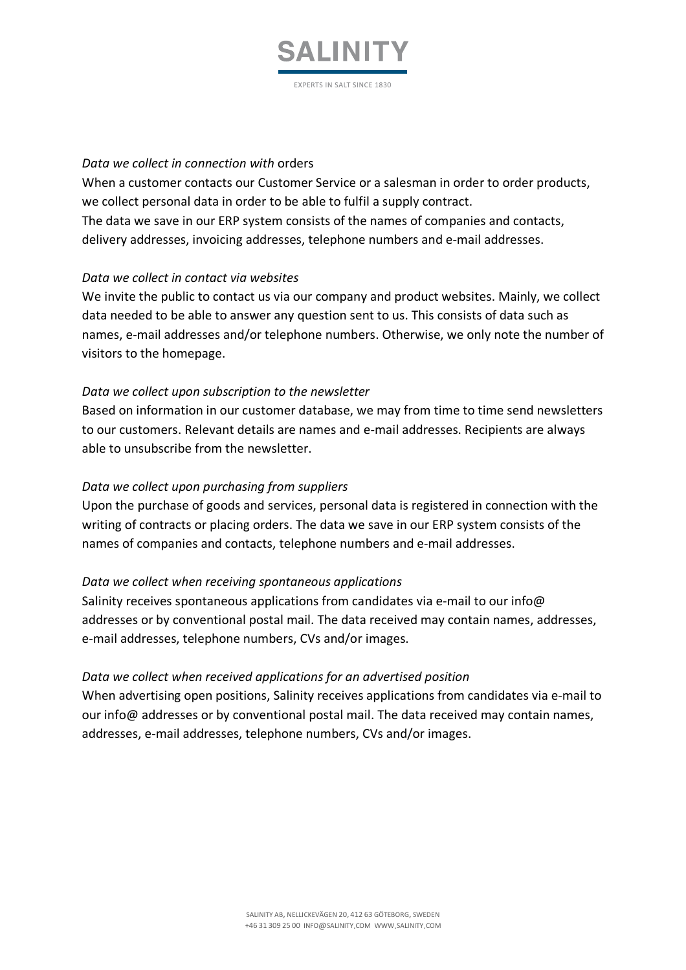

#### *Data we collect in connection with* orders

When a customer contacts our Customer Service or a salesman in order to order products, we collect personal data in order to be able to fulfil a supply contract. The data we save in our ERP system consists of the names of companies and contacts, delivery addresses, invoicing addresses, telephone numbers and e-mail addresses.

#### *Data we collect in contact via websites*

We invite the public to contact us via our company and product websites. Mainly, we collect data needed to be able to answer any question sent to us. This consists of data such as names, e-mail addresses and/or telephone numbers. Otherwise, we only note the number of visitors to the homepage.

#### *Data we collect upon subscription to the newsletter*

Based on information in our customer database, we may from time to time send newsletters to our customers. Relevant details are names and e-mail addresses. Recipients are always able to unsubscribe from the newsletter.

#### *Data we collect upon purchasing from suppliers*

Upon the purchase of goods and services, personal data is registered in connection with the writing of contracts or placing orders. The data we save in our ERP system consists of the names of companies and contacts, telephone numbers and e-mail addresses.

#### *Data we collect when receiving spontaneous applications*

Salinity receives spontaneous applications from candidates via e-mail to our info@ addresses or by conventional postal mail. The data received may contain names, addresses, e-mail addresses, telephone numbers, CVs and/or images.

#### *Data we collect when received applications for an advertised position*

When advertising open positions, Salinity receives applications from candidates via e-mail to our info@ addresses or by conventional postal mail. The data received may contain names, addresses, e-mail addresses, telephone numbers, CVs and/or images.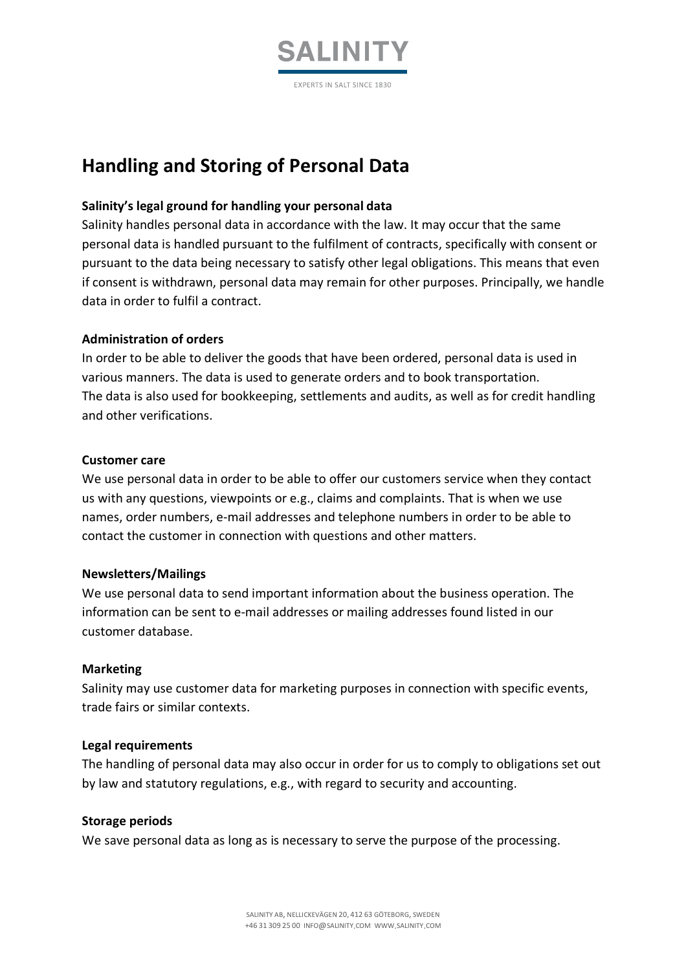

### **Handling and Storing of Personal Data**

#### **Salinity's legal ground for handling your personal data**

Salinity handles personal data in accordance with the law. It may occur that the same personal data is handled pursuant to the fulfilment of contracts, specifically with consent or pursuant to the data being necessary to satisfy other legal obligations. This means that even if consent is withdrawn, personal data may remain for other purposes. Principally, we handle data in order to fulfil a contract.

#### **Administration of orders**

In order to be able to deliver the goods that have been ordered, personal data is used in various manners. The data is used to generate orders and to book transportation. The data is also used for bookkeeping, settlements and audits, as well as for credit handling and other verifications.

#### **Customer care**

We use personal data in order to be able to offer our customers service when they contact us with any questions, viewpoints or e.g., claims and complaints. That is when we use names, order numbers, e-mail addresses and telephone numbers in order to be able to contact the customer in connection with questions and other matters.

#### **Newsletters/Mailings**

We use personal data to send important information about the business operation. The information can be sent to e-mail addresses or mailing addresses found listed in our customer database.

#### **Marketing**

Salinity may use customer data for marketing purposes in connection with specific events, trade fairs or similar contexts.

#### **Legal requirements**

The handling of personal data may also occur in order for us to comply to obligations set out by law and statutory regulations, e.g., with regard to security and accounting.

#### **Storage periods**

We save personal data as long as is necessary to serve the purpose of the processing.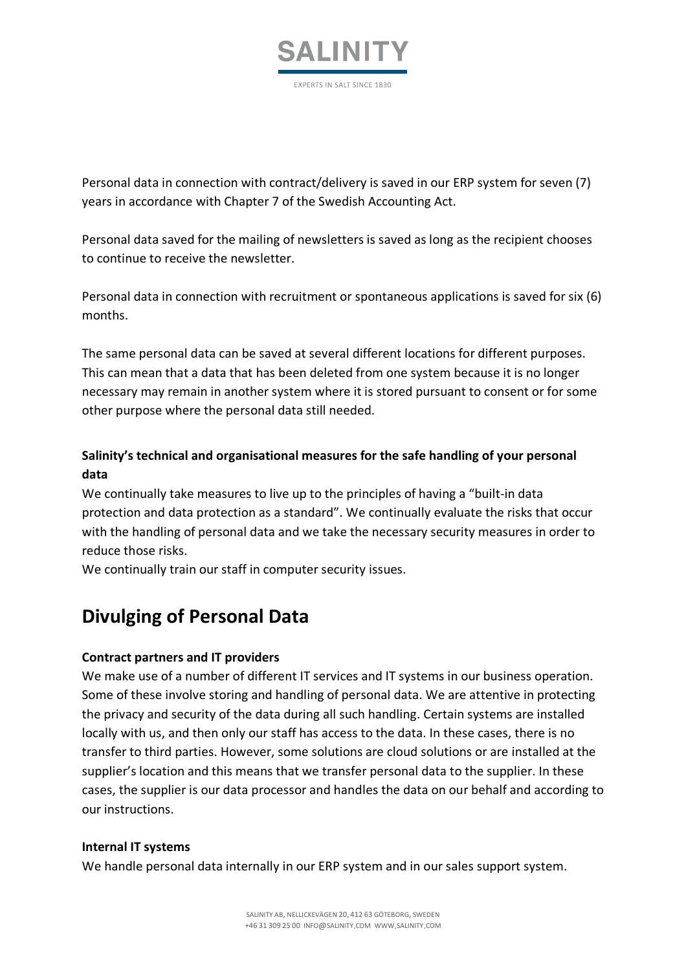

Personal data in connection with contract/delivery is saved in our ERP system for seven (7) years in accordance with Chapter 7 of the Swedish Accounting Act.

Personal data saved for the mailing of newsletters is saved as long as the recipient chooses to continue to receive the newsletter.

Personal data in connection with recruitment or spontaneous applications is saved for six (6) months.

The same personal data can be saved at several different locations for different purposes. This can mean that a data that has been deleted from one system because it is no longer necessary may remain in another system where it is stored pursuant to consent or for some other purpose where the personal data still needed.

### **Salinity's technical and organisational measures for the safe handling of your personal data**

We continually take measures to live up to the principles of having a "built-in data protection and data protection as a standard". We continually evaluate the risks that occur with the handling of personal data and we take the necessary security measures in order to reduce those risks.

We continually train our staff in computer security issues.

# **Divulging of Personal Data**

### **Contract partners and IT providers**

We make use of a number of different IT services and IT systems in our business operation. Some of these involve storing and handling of personal data. We are attentive in protecting the privacy and security of the data during all such handling. Certain systems are installed locally with us, and then only our staff has access to the data. In these cases, there is no transfer to third parties. However, some solutions are cloud solutions or are installed at the supplier's location and this means that we transfer personal data to the supplier. In these cases, the supplier is our data processor and handles the data on our behalf and according to our instructions.

#### **Internal IT systems**

We handle personal data internally in our ERP system and in our sales support system.